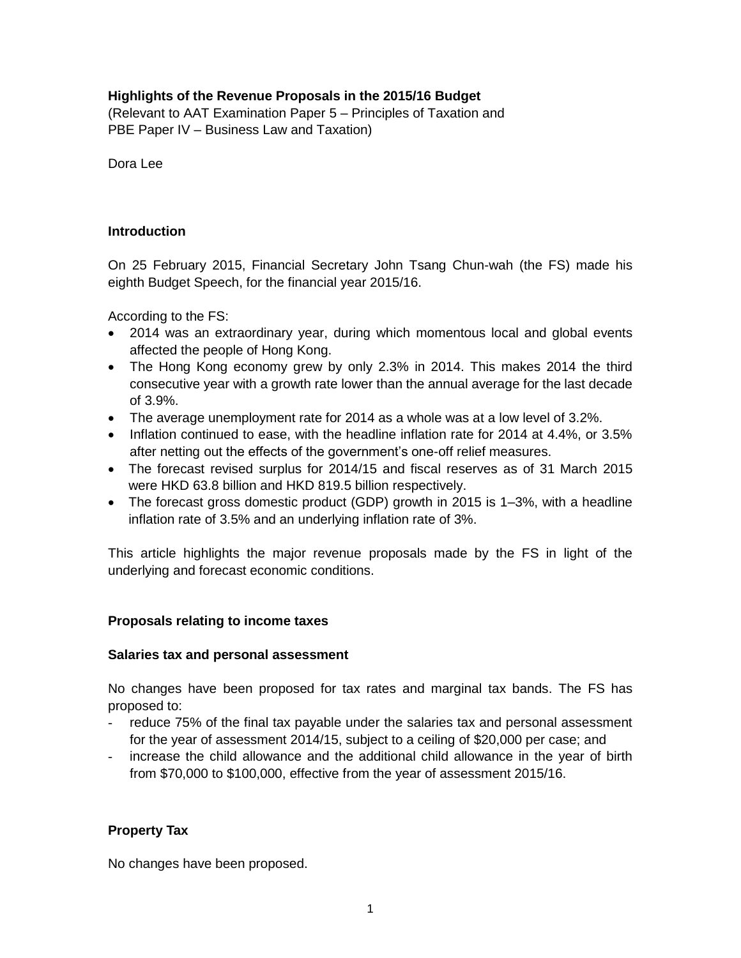# **Highlights of the Revenue Proposals in the 2015/16 Budget**

(Relevant to AAT Examination Paper 5 – Principles of Taxation and PBE Paper IV – Business Law and Taxation)

Dora Lee

# **Introduction**

On 25 February 2015, Financial Secretary John Tsang Chun-wah (the FS) made his eighth Budget Speech, for the financial year 2015/16.

According to the FS:

- 2014 was an extraordinary year, during which momentous local and global events affected the people of Hong Kong.
- The Hong Kong economy grew by only 2.3% in 2014. This makes 2014 the third consecutive year with a growth rate lower than the annual average for the last decade of 3.9%.
- The average unemployment rate for 2014 as a whole was at a low level of 3.2%.
- Inflation continued to ease, with the headline inflation rate for 2014 at 4.4%, or 3.5% after netting out the effects of the government's one-off relief measures.
- The forecast revised surplus for 2014/15 and fiscal reserves as of 31 March 2015 were HKD 63.8 billion and HKD 819.5 billion respectively.
- The forecast gross domestic product (GDP) growth in 2015 is 1–3%, with a headline inflation rate of 3.5% and an underlying inflation rate of 3%.

This article highlights the major revenue proposals made by the FS in light of the underlying and forecast economic conditions.

# **Proposals relating to income taxes**

#### **Salaries tax and personal assessment**

No changes have been proposed for tax rates and marginal tax bands. The FS has proposed to:

- reduce 75% of the final tax payable under the salaries tax and personal assessment for the year of assessment 2014/15, subject to a ceiling of \$20,000 per case; and
- increase the child allowance and the additional child allowance in the year of birth from \$70,000 to \$100,000, effective from the year of assessment 2015/16.

# **Property Tax**

No changes have been proposed.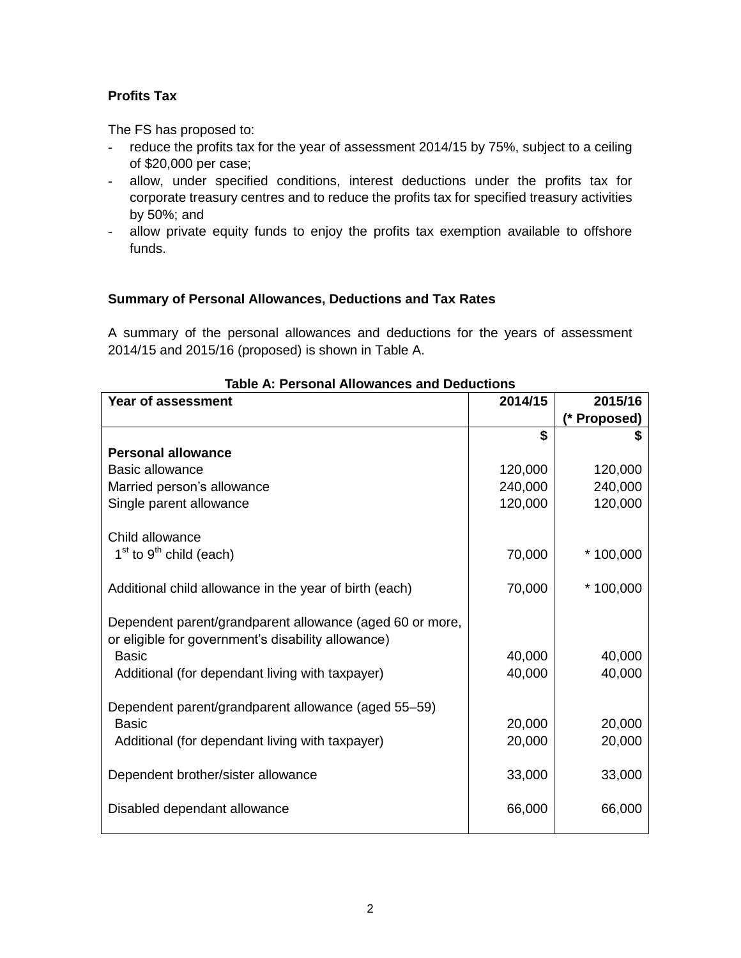# **Profits Tax**

The FS has proposed to:

- reduce the profits tax for the year of assessment 2014/15 by 75%, subject to a ceiling of \$20,000 per case;
- allow, under specified conditions, interest deductions under the profits tax for corporate treasury centres and to reduce the profits tax for specified treasury activities by 50%; and
- allow private equity funds to enjoy the profits tax exemption available to offshore funds.

# **Summary of Personal Allowances, Deductions and Tax Rates**

A summary of the personal allowances and deductions for the years of assessment 2014/15 and 2015/16 (proposed) is shown in Table A.

| Year of assessment                                                                                             | 2014/15 | 2015/16      |
|----------------------------------------------------------------------------------------------------------------|---------|--------------|
|                                                                                                                |         | (* Proposed) |
|                                                                                                                | \$      |              |
| <b>Personal allowance</b>                                                                                      |         |              |
| <b>Basic allowance</b>                                                                                         | 120,000 | 120,000      |
| Married person's allowance                                                                                     | 240,000 | 240,000      |
| Single parent allowance                                                                                        | 120,000 | 120,000      |
| Child allowance                                                                                                |         |              |
| $1st$ to $9th$ child (each)                                                                                    | 70,000  | $*100,000$   |
| Additional child allowance in the year of birth (each)                                                         | 70,000  | $*100,000$   |
| Dependent parent/grandparent allowance (aged 60 or more,<br>or eligible for government's disability allowance) |         |              |
| <b>Basic</b>                                                                                                   | 40,000  | 40,000       |
| Additional (for dependant living with taxpayer)                                                                | 40,000  | 40,000       |
| Dependent parent/grandparent allowance (aged 55–59)                                                            |         |              |
| <b>Basic</b>                                                                                                   | 20,000  | 20,000       |
| Additional (for dependant living with taxpayer)                                                                | 20,000  | 20,000       |
| Dependent brother/sister allowance                                                                             | 33,000  | 33,000       |
| Disabled dependant allowance                                                                                   | 66,000  | 66,000       |

# **Table A: Personal Allowances and Deductions**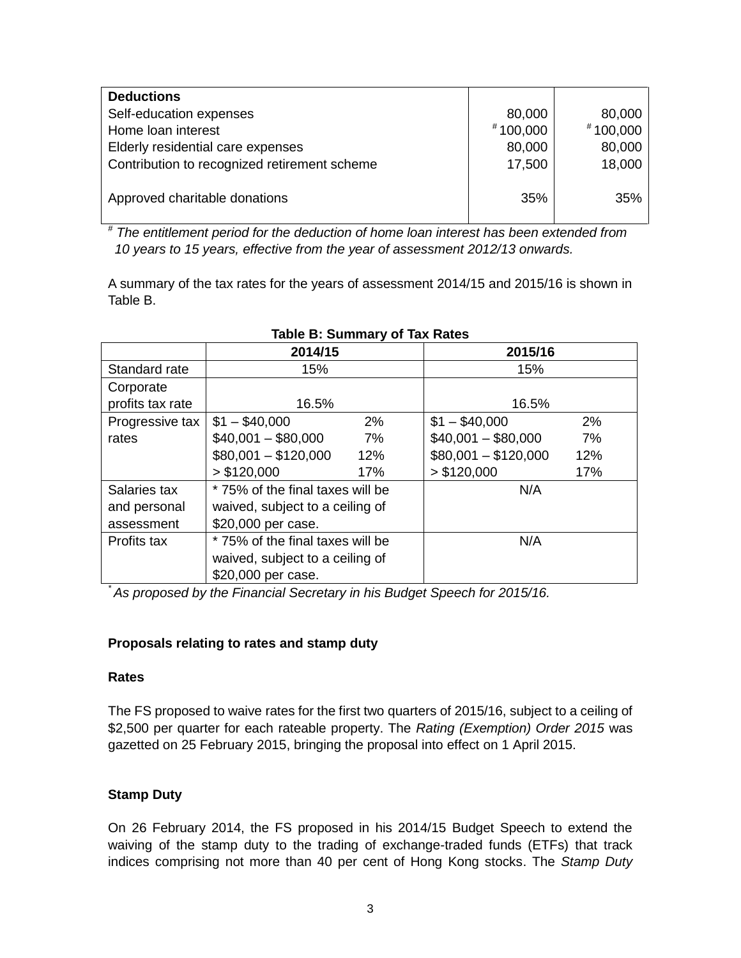| <b>Deductions</b>                            |            |            |
|----------------------------------------------|------------|------------|
| Self-education expenses                      | 80,000     | 80,000     |
| Home loan interest                           | $*100,000$ | $*100,000$ |
| Elderly residential care expenses            | 80,000     | 80,000     |
| Contribution to recognized retirement scheme | 17,500     | 18,000     |
| Approved charitable donations                | 35%        | 35%        |

*# The entitlement period for the deduction of home loan interest has been extended from 10 years to 15 years, effective from the year of assessment 2012/13 onwards.*

A summary of the tax rates for the years of assessment 2014/15 and 2015/16 is shown in Table B.

|                  | 2014/15                          | 2015/16                     |  |
|------------------|----------------------------------|-----------------------------|--|
| Standard rate    | 15%                              | 15%                         |  |
| Corporate        |                                  |                             |  |
| profits tax rate | 16.5%                            | 16.5%                       |  |
| Progressive tax  | $$1 - $40,000$<br>2%             | 2%<br>$$1 - $40,000$        |  |
| rates            | $$40,001 - $80,000$<br>7%        | $$40,001 - $80,000$<br>7%   |  |
|                  | $$80,001 - $120,000$<br>12%      | $$80,001 - $120,000$<br>12% |  |
|                  | > \$120,000<br>17%               | > \$120,000<br>17%          |  |
| Salaries tax     | * 75% of the final taxes will be | N/A                         |  |
| and personal     | waived, subject to a ceiling of  |                             |  |
| assessment       | \$20,000 per case.               |                             |  |
| Profits tax      | * 75% of the final taxes will be | N/A                         |  |
|                  | waived, subject to a ceiling of  |                             |  |
|                  | \$20,000 per case.               |                             |  |

# **Table B: Summary of Tax Rates**

*\* As proposed by the Financial Secretary in his Budget Speech for 2015/16.*

# **Proposals relating to rates and stamp duty**

#### **Rates**

The FS proposed to waive rates for the first two quarters of 2015/16, subject to a ceiling of \$2,500 per quarter for each rateable property. The *Rating (Exemption) Order 2015* was gazetted on 25 February 2015, bringing the proposal into effect on 1 April 2015.

# **Stamp Duty**

On 26 February 2014, the FS proposed in his 2014/15 Budget Speech to extend the waiving of the stamp duty to the trading of exchange-traded funds (ETFs) that track indices comprising not more than 40 per cent of Hong Kong stocks. The *Stamp Duty*